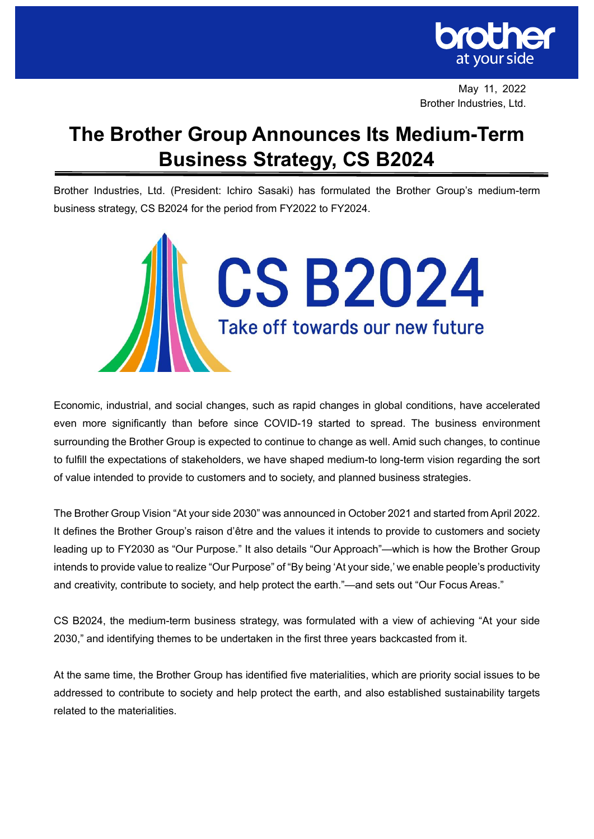

May 11, 2022 Brother Industries, Ltd.

# **The Brother Group Announces Its Medium-Term Business Strategy, CS B2024**

Brother Industries, Ltd. (President: Ichiro Sasaki) has formulated the Brother Group's medium-term business strategy, CS B2024 for the period from FY2022 to FY2024.



Economic, industrial, and social changes, such as rapid changes in global conditions, have accelerated even more significantly than before since COVID-19 started to spread. The business environment surrounding the Brother Group is expected to continue to change as well. Amid such changes, to continue to fulfill the expectations of stakeholders, we have shaped medium-to long-term vision regarding the sort of value intended to provide to customers and to society, and planned business strategies.

The Brother Group Vision "At your side 2030" was announced in October 2021 and started from April 2022. It defines the Brother Group's raison d'être and the values it intends to provide to customers and society leading up to FY2030 as "Our Purpose." It also details "Our Approach"—which is how the Brother Group intends to provide value to realize "Our Purpose" of "By being 'At your side,' we enable people's productivity and creativity, contribute to society, and help protect the earth."—and sets out "Our Focus Areas."

CS B2024, the medium-term business strategy, was formulated with a view of achieving "At your side 2030," and identifying themes to be undertaken in the first three years backcasted from it.

At the same time, the Brother Group has identified five materialities, which are priority social issues to be addressed to contribute to society and help protect the earth, and also established sustainability targets related to the materialities.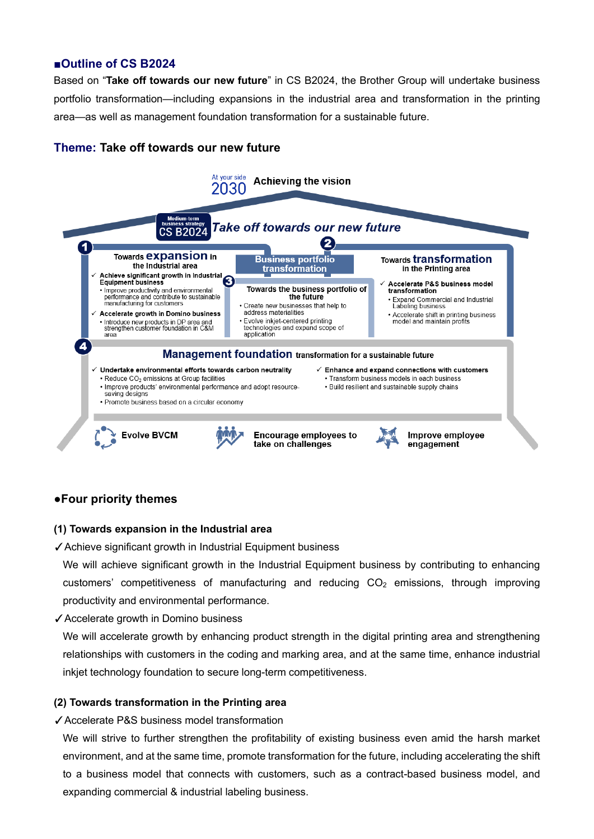## **■Outline of CS B2024**

Based on "**Take off towards our new future**" in CS B2024, the Brother Group will undertake business portfolio transformation—including expansions in the industrial area and transformation in the printing area—as well as management foundation transformation for a sustainable future.

## **Theme: Take off towards our new future**



## **●Four priority themes**

#### **(1) Towards expansion in the Industrial area**

✓Achieve significant growth in Industrial Equipment business

We will achieve significant growth in the Industrial Equipment business by contributing to enhancing customers' competitiveness of manufacturing and reducing  $CO<sub>2</sub>$  emissions, through improving productivity and environmental performance.

✓Accelerate growth in Domino business

We will accelerate growth by enhancing product strength in the digital printing area and strengthening relationships with customers in the coding and marking area, and at the same time, enhance industrial inkjet technology foundation to secure long-term competitiveness.

#### **(2) Towards transformation in the Printing area**

✓Accelerate P&S business model transformation

We will strive to further strengthen the profitability of existing business even amid the harsh market environment, and at the same time, promote transformation for the future, including accelerating the shift to a business model that connects with customers, such as a contract-based business model, and expanding commercial & industrial labeling business.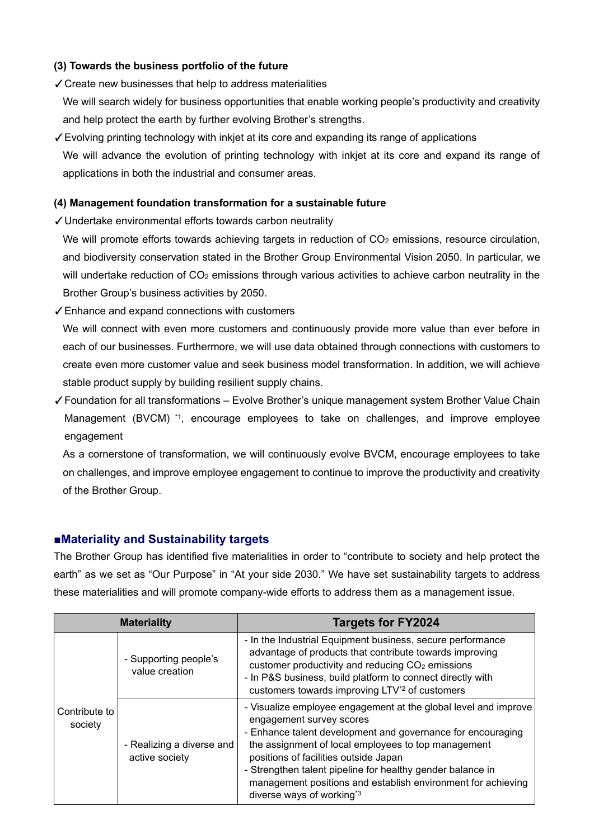#### **(3) Towards the business portfolio of the future**

✓Create new businesses that help to address materialities

We will search widely for business opportunities that enable working people's productivity and creativity and help protect the earth by further evolving Brother's strengths.

✓Evolving printing technology with inkjet at its core and expanding its range of applications We will advance the evolution of printing technology with inkjet at its core and expand its range of applications in both the industrial and consumer areas.

#### **(4) Management foundation transformation for a sustainable future**

✓Undertake environmental efforts towards carbon neutrality

We will promote efforts towards achieving targets in reduction of  $CO<sub>2</sub>$  emissions, resource circulation, and biodiversity conservation stated in the Brother Group Environmental Vision 2050. In particular, we will undertake reduction of  $CO<sub>2</sub>$  emissions through various activities to achieve carbon neutrality in the Brother Group's business activities by 2050.

✓Enhance and expand connections with customers

We will connect with even more customers and continuously provide more value than ever before in each of our businesses. Furthermore, we will use data obtained through connections with customers to create even more customer value and seek business model transformation. In addition, we will achieve stable product supply by building resilient supply chains.

✓Foundation for all transformations – Evolve Brother's unique management system Brother Value Chain Management (BVCM) \*1, encourage employees to take on challenges, and improve employee engagement

As a cornerstone of transformation, we will continuously evolve BVCM, encourage employees to take on challenges, and improve employee engagement to continue to improve the productivity and creativity of the Brother Group.

## **■Materiality and Sustainability targets**

The Brother Group has identified five materialities in order to "contribute to society and help protect the earth" as we set as "Our Purpose" in "At your side 2030." We have set sustainability targets to address these materialities and will promote company-wide efforts to address them as a management issue.

| <b>Materiality</b>       |                                             | <b>Targets for FY2024</b>                                                                                                                                                                                                                                                                                                                                                                                                         |  |
|--------------------------|---------------------------------------------|-----------------------------------------------------------------------------------------------------------------------------------------------------------------------------------------------------------------------------------------------------------------------------------------------------------------------------------------------------------------------------------------------------------------------------------|--|
| Contribute to<br>society | - Supporting people's<br>value creation     | - In the Industrial Equipment business, secure performance<br>advantage of products that contribute towards improving<br>customer productivity and reducing CO <sub>2</sub> emissions<br>- In P&S business, build platform to connect directly with<br>customers towards improving LTV <sup>*2</sup> of customers                                                                                                                 |  |
|                          | - Realizing a diverse and<br>active society | - Visualize employee engagement at the global level and improve<br>engagement survey scores<br>- Enhance talent development and governance for encouraging<br>the assignment of local employees to top management<br>positions of facilities outside Japan<br>- Strengthen talent pipeline for healthy gender balance in<br>management positions and establish environment for achieving<br>diverse ways of working <sup>*3</sup> |  |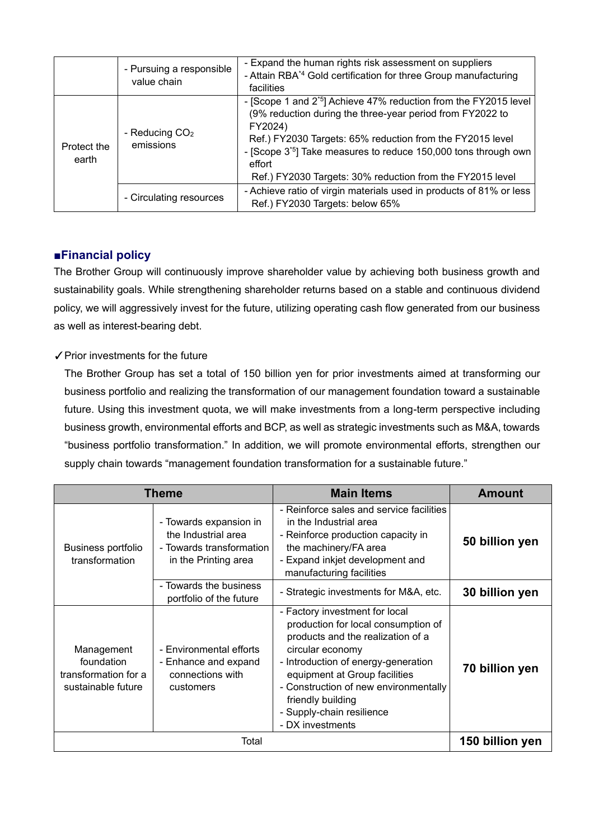|                      | - Pursuing a responsible<br>value chain | - Expand the human rights risk assessment on suppliers<br>- Attain RBA <sup>*4</sup> Gold certification for three Group manufacturing<br>facilities                                                                                                                                                                                                                     |
|----------------------|-----------------------------------------|-------------------------------------------------------------------------------------------------------------------------------------------------------------------------------------------------------------------------------------------------------------------------------------------------------------------------------------------------------------------------|
| Protect the<br>earth | - Reducing $CO2$<br>emissions           | - [Scope 1 and 2 <sup>*5</sup> ] Achieve 47% reduction from the FY2015 level<br>(9% reduction during the three-year period from FY2022 to<br>FY2024)<br>Ref.) FY2030 Targets: 65% reduction from the FY2015 level<br>- [Scope 3 <sup>*5</sup> ] Take measures to reduce 150,000 tons through own<br>effort<br>Ref.) FY2030 Targets: 30% reduction from the FY2015 level |
|                      | - Circulating resources                 | - Achieve ratio of virgin materials used in products of 81% or less<br>Ref.) FY2030 Targets: below 65%                                                                                                                                                                                                                                                                  |

# **■Financial policy**

The Brother Group will continuously improve shareholder value by achieving both business growth and sustainability goals. While strengthening shareholder returns based on a stable and continuous dividend policy, we will aggressively invest for the future, utilizing operating cash flow generated from our business as well as interest-bearing debt.

## ✓Prior investments for the future

The Brother Group has set a total of 150 billion yen for prior investments aimed at transforming our business portfolio and realizing the transformation of our management foundation toward a sustainable future. Using this investment quota, we will make investments from a long-term perspective including business growth, environmental efforts and BCP, as well as strategic investments such as M&A, towards "business portfolio transformation." In addition, we will promote environmental efforts, strengthen our supply chain towards "management foundation transformation for a sustainable future."

| <b>Theme</b>                                                           |                                                                                                   | <b>Main Items</b>                                                                                                                                                                                                                                                                                                     | <b>Amount</b>   |
|------------------------------------------------------------------------|---------------------------------------------------------------------------------------------------|-----------------------------------------------------------------------------------------------------------------------------------------------------------------------------------------------------------------------------------------------------------------------------------------------------------------------|-----------------|
| <b>Business portfolio</b><br>transformation                            | - Towards expansion in<br>the Industrial area<br>- Towards transformation<br>in the Printing area | - Reinforce sales and service facilities<br>in the Industrial area<br>- Reinforce production capacity in<br>the machinery/FA area<br>- Expand inkjet development and<br>manufacturing facilities                                                                                                                      | 50 billion yen  |
|                                                                        | - Towards the business<br>portfolio of the future                                                 | - Strategic investments for M&A, etc.                                                                                                                                                                                                                                                                                 | 30 billion yen  |
| Management<br>foundation<br>transformation for a<br>sustainable future | - Environmental efforts<br>- Enhance and expand<br>connections with<br>customers                  | - Factory investment for local<br>production for local consumption of<br>products and the realization of a<br>circular economy<br>- Introduction of energy-generation<br>equipment at Group facilities<br>- Construction of new environmentally<br>friendly building<br>- Supply-chain resilience<br>- DX investments | 70 billion yen  |
|                                                                        | Total                                                                                             |                                                                                                                                                                                                                                                                                                                       | 150 billion yen |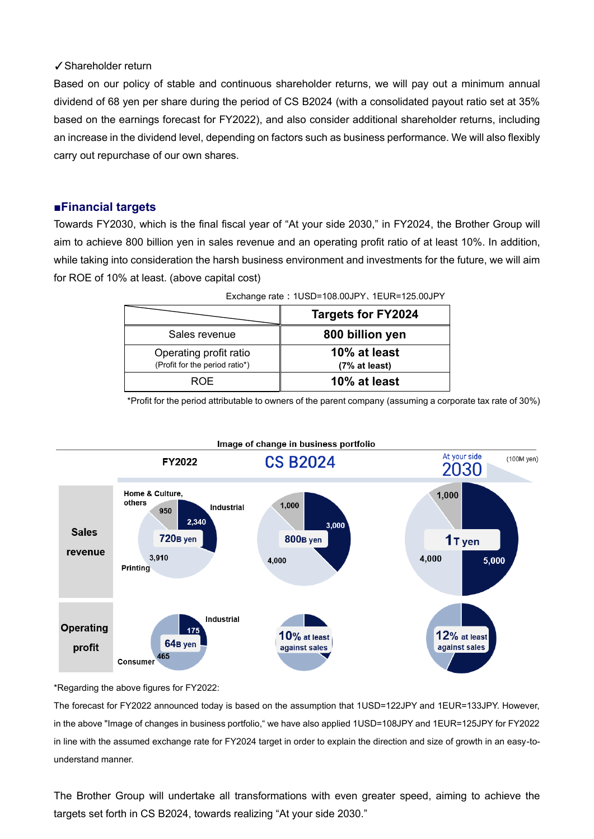#### ✓Shareholder return

Based on our policy of stable and continuous shareholder returns, we will pay out a minimum annual dividend of 68 yen per share during the period of CS B2024 (with a consolidated payout ratio set at 35% based on the earnings forecast for FY2022), and also consider additional shareholder returns, including an increase in the dividend level, depending on factors such as business performance. We will also flexibly carry out repurchase of our own shares.

#### **■Financial targets**

Towards FY2030, which is the final fiscal year of "At your side 2030," in FY2024, the Brother Group will aim to achieve 800 billion yen in sales revenue and an operating profit ratio of at least 10%. In addition, while taking into consideration the harsh business environment and investments for the future, we will aim for ROE of 10% at least. (above capital cost)

|                                                          | <b>Targets for FY2024</b>     |  |  |
|----------------------------------------------------------|-------------------------------|--|--|
| Sales revenue                                            | 800 billion yen               |  |  |
| Operating profit ratio<br>(Profit for the period ratio*) | 10% at least<br>(7% at least) |  |  |
| <b>ROE</b>                                               | 10% at least                  |  |  |

| Exchange rate: 1USD=108.00JPY、1EUR=125.00JPY |  |
|----------------------------------------------|--|
|                                              |  |

\*Profit for the period attributable to owners of the parent company (assuming a corporate tax rate of 30%)





\*Regarding the above figures for FY2022:

The forecast for FY2022 announced today is based on the assumption that 1USD=122JPY and 1EUR=133JPY. However, in the above "Image of changes in business portfolio," we have also applied 1USD=108JPY and 1EUR=125JPY for FY2022 in line with the assumed exchange rate for FY2024 target in order to explain the direction and size of growth in an easy-tounderstand manner.

The Brother Group will undertake all transformations with even greater speed, aiming to achieve the targets set forth in CS B2024, towards realizing "At your side 2030."